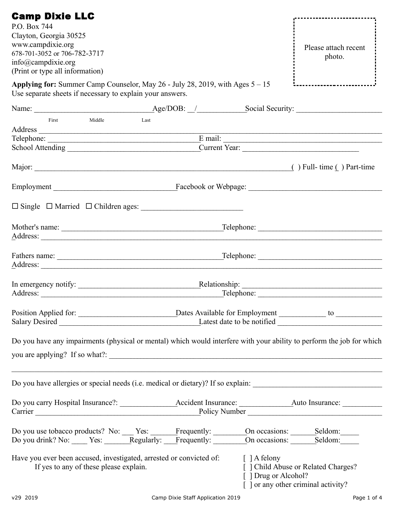| <b>Camp Dixie LLC</b>                                                                                                                        |                                                                                                                       |
|----------------------------------------------------------------------------------------------------------------------------------------------|-----------------------------------------------------------------------------------------------------------------------|
| P.O. Box 744                                                                                                                                 |                                                                                                                       |
| Clayton, Georgia 30525                                                                                                                       |                                                                                                                       |
| www.campdixie.org                                                                                                                            |                                                                                                                       |
| 678-701-3052 or 706-782-3717                                                                                                                 | Please attach recent                                                                                                  |
| info@campdixie.org                                                                                                                           | photo.                                                                                                                |
| (Print or type all information)                                                                                                              |                                                                                                                       |
|                                                                                                                                              |                                                                                                                       |
| Applying for: Summer Camp Counselor, May 26 - July 28, 2019, with Ages $5 - 15$<br>Use separate sheets if necessary to explain your answers. |                                                                                                                       |
|                                                                                                                                              |                                                                                                                       |
| First<br>Middle<br>Last                                                                                                                      |                                                                                                                       |
|                                                                                                                                              |                                                                                                                       |
|                                                                                                                                              | Telephone: <u>Email:</u> Email:                                                                                       |
|                                                                                                                                              | Current Year:                                                                                                         |
|                                                                                                                                              |                                                                                                                       |
|                                                                                                                                              |                                                                                                                       |
|                                                                                                                                              |                                                                                                                       |
|                                                                                                                                              |                                                                                                                       |
|                                                                                                                                              |                                                                                                                       |
|                                                                                                                                              |                                                                                                                       |
|                                                                                                                                              | $\Box$ Telephone: $\Box$                                                                                              |
|                                                                                                                                              |                                                                                                                       |
|                                                                                                                                              |                                                                                                                       |
|                                                                                                                                              |                                                                                                                       |
|                                                                                                                                              |                                                                                                                       |
|                                                                                                                                              |                                                                                                                       |
| In emergency notify:                                                                                                                         |                                                                                                                       |
|                                                                                                                                              |                                                                                                                       |
|                                                                                                                                              |                                                                                                                       |
|                                                                                                                                              |                                                                                                                       |
|                                                                                                                                              |                                                                                                                       |
|                                                                                                                                              | Do you have any impairments (physical or mental) which would interfere with your ability to perform the job for which |
|                                                                                                                                              |                                                                                                                       |
|                                                                                                                                              |                                                                                                                       |
|                                                                                                                                              |                                                                                                                       |
|                                                                                                                                              |                                                                                                                       |
|                                                                                                                                              |                                                                                                                       |
|                                                                                                                                              |                                                                                                                       |
|                                                                                                                                              |                                                                                                                       |
|                                                                                                                                              |                                                                                                                       |
|                                                                                                                                              |                                                                                                                       |
| Do you use tobacco products? No: _____Yes: _______Frequently: _________On occasions: ________Seldom: ________                                |                                                                                                                       |
| Do you drink? No: _____ Yes: ________Regularly: ____Frequently: ________On occasions: ________Seldom: _______                                |                                                                                                                       |
|                                                                                                                                              |                                                                                                                       |
| Have you ever been accused, investigated, arrested or convicted of: [ ] A felony                                                             |                                                                                                                       |
| If yes to any of these please explain.                                                                                                       | [ ] Child Abuse or Related Charges?                                                                                   |
|                                                                                                                                              | [ ] Drug or Alcohol?                                                                                                  |
|                                                                                                                                              | [ ] or any other criminal activity?                                                                                   |
|                                                                                                                                              |                                                                                                                       |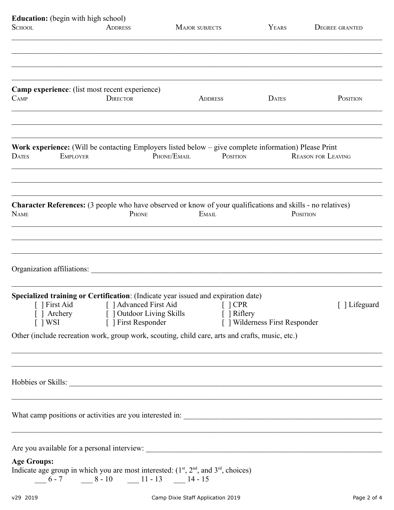| <b>Education:</b> (begin with high school)                                                                  |                 |                                                                                   |             |                       |                                |              |                           |                       |  |  |
|-------------------------------------------------------------------------------------------------------------|-----------------|-----------------------------------------------------------------------------------|-------------|-----------------------|--------------------------------|--------------|---------------------------|-----------------------|--|--|
| <b>SCHOOL</b>                                                                                               |                 | <b>ADDRESS</b>                                                                    |             | <b>MAJOR SUBJECTS</b> |                                |              |                           | <b>DEGREE GRANTED</b> |  |  |
|                                                                                                             |                 |                                                                                   |             |                       |                                |              |                           |                       |  |  |
|                                                                                                             |                 |                                                                                   |             |                       |                                |              |                           |                       |  |  |
|                                                                                                             |                 |                                                                                   |             |                       |                                |              |                           |                       |  |  |
|                                                                                                             |                 |                                                                                   |             |                       |                                |              |                           |                       |  |  |
| <b>Camp experience:</b> (list most recent experience)                                                       |                 |                                                                                   |             |                       |                                |              |                           |                       |  |  |
| C <sub>AMP</sub>                                                                                            |                 | <b>DIRECTOR</b>                                                                   |             | <b>ADDRESS</b>        |                                | <b>DATES</b> |                           | POSITION              |  |  |
|                                                                                                             |                 |                                                                                   |             |                       |                                |              |                           |                       |  |  |
|                                                                                                             |                 |                                                                                   |             |                       |                                |              |                           |                       |  |  |
| Work experience: (Will be contacting Employers listed below – give complete information) Please Print       |                 |                                                                                   |             |                       |                                |              |                           |                       |  |  |
| <b>DATES</b>                                                                                                | <b>EMPLOYER</b> |                                                                                   | PHONE/EMAIL |                       | POSITION                       |              | <b>REASON FOR LEAVING</b> |                       |  |  |
|                                                                                                             |                 |                                                                                   |             |                       |                                |              |                           |                       |  |  |
|                                                                                                             |                 |                                                                                   |             |                       |                                |              |                           |                       |  |  |
|                                                                                                             |                 |                                                                                   |             |                       |                                |              |                           |                       |  |  |
| Character References: (3 people who have observed or know of your qualifications and skills - no relatives) |                 |                                                                                   |             |                       |                                |              |                           |                       |  |  |
| <b>NAME</b>                                                                                                 |                 | PHONE                                                                             |             | EMAIL                 |                                |              | POSITION                  |                       |  |  |
|                                                                                                             |                 |                                                                                   |             |                       |                                |              |                           |                       |  |  |
|                                                                                                             |                 |                                                                                   |             |                       |                                |              |                           |                       |  |  |
|                                                                                                             |                 |                                                                                   |             |                       |                                |              |                           |                       |  |  |
| Organization affiliations:                                                                                  |                 |                                                                                   |             |                       |                                |              |                           |                       |  |  |
|                                                                                                             |                 |                                                                                   |             |                       |                                |              |                           |                       |  |  |
| Specialized training or Certification: (Indicate year issued and expiration date)                           |                 |                                                                                   |             |                       |                                |              |                           |                       |  |  |
|                                                                                                             |                 | [ ] First Aid [ ] Advanced First Aid                                              |             | $\lceil$   CPR        |                                |              |                           | [ ] Lifeguard         |  |  |
|                                                                                                             |                 | [ ] Archery [ ] Outdoor Living Skills [ ] Riflery                                 |             |                       |                                |              |                           |                       |  |  |
| $\lceil$   WSI                                                                                              |                 | [ ] First Responder                                                               |             |                       | [ ] Wilderness First Responder |              |                           |                       |  |  |
| Other (include recreation work, group work, scouting, child care, arts and crafts, music, etc.)             |                 |                                                                                   |             |                       |                                |              |                           |                       |  |  |
|                                                                                                             |                 |                                                                                   |             |                       |                                |              |                           |                       |  |  |
|                                                                                                             |                 |                                                                                   |             |                       |                                |              |                           |                       |  |  |
| Hobbies or Skills:                                                                                          |                 |                                                                                   |             |                       |                                |              |                           |                       |  |  |
|                                                                                                             |                 |                                                                                   |             |                       |                                |              |                           |                       |  |  |
|                                                                                                             |                 | ,我们也不能在这里的人,我们也不能在这里的人,我们也不能不能不能不能不能不能不能不能不能不能不能不能不能不能。""我们的人,我们也不能不能不能不能不能不能不能不能 |             |                       |                                |              |                           |                       |  |  |
|                                                                                                             |                 |                                                                                   |             |                       |                                |              |                           |                       |  |  |
|                                                                                                             |                 |                                                                                   |             |                       |                                |              |                           |                       |  |  |
|                                                                                                             |                 |                                                                                   |             |                       |                                |              |                           |                       |  |  |
|                                                                                                             |                 |                                                                                   |             |                       |                                |              |                           |                       |  |  |
| <b>Age Groups:</b><br>Indicate age group in which you are most interested: $(1st, 2nd, and 3rd, choices)$   |                 |                                                                                   |             |                       |                                |              |                           |                       |  |  |
|                                                                                                             |                 | $-6-7$ $-8-10$ $-11-13$ $-14-15$                                                  |             |                       |                                |              |                           |                       |  |  |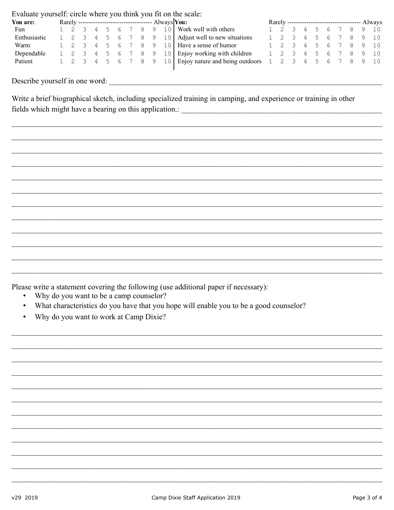Evaluate yourself: circle where you think you fit on the scale:

| You are:     |  |  |  |  |  | Rarely ----------------------------------- Always <b>You:</b>                                              |  |  |  |  | Rarely ---------------------------------- Always |
|--------------|--|--|--|--|--|------------------------------------------------------------------------------------------------------------|--|--|--|--|--------------------------------------------------|
| Fun          |  |  |  |  |  | 1 2 3 4 5 6 7 8 9 10 Work well with others                                                                 |  |  |  |  | 1 2 3 4 5 6 7 8 9 10                             |
| Enthusiastic |  |  |  |  |  | $1 \quad 2 \quad 3 \quad 4 \quad 5 \quad 6 \quad 7 \quad 8 \quad 9 \quad 10$ Adjust well to new situations |  |  |  |  | 1 2 3 4 5 6 7 8 9 10                             |
| Warm         |  |  |  |  |  | 1 2 3 4 5 6 7 8 9 10 Have a sense of humor                                                                 |  |  |  |  | 1 2 3 4 5 6 7 8 9 10                             |
| Dependable   |  |  |  |  |  | 1 2 3 4 5 6 7 8 9 10 Enjoy working with children                                                           |  |  |  |  | 1 2 3 4 5 6 7 8 9 10                             |
| Patient      |  |  |  |  |  | 1 2 3 4 5 6 7 8 9 10 Enjoy nature and being outdoors 1 2 3 4 5 6 7 8 9 10                                  |  |  |  |  |                                                  |

Describe yourself in one word:

Write a brief biographical sketch, including specialized training in camping, and experience or training in other 

Please write a statement covering the following (use additional paper if necessary):

- Why do you want to be a camp counselor?  $\bullet$  .
- What characteristics do you have that you hope will enable you to be a good counselor?  $\bullet$
- Why do you want to work at Camp Dixie?  $\bullet$